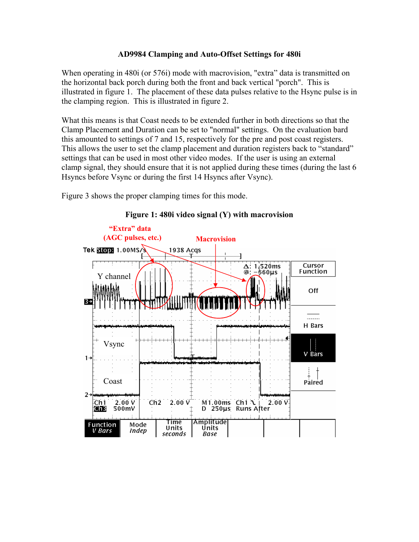## **AD9984 Clamping and Auto-Offset Settings for 480i**

When operating in 480i (or 576i) mode with macrovision, "extra" data is transmitted on the horizontal back porch during both the front and back vertical "porch". This is illustrated in figure 1. The placement of these data pulses relative to the Hsync pulse is in the clamping region. This is illustrated in figure 2.

What this means is that Coast needs to be extended further in both directions so that the Clamp Placement and Duration can be set to "normal" settings. On the evaluation bard this amounted to settings of 7 and 15, respectively for the pre and post coast registers. This allows the user to set the clamp placement and duration registers back to "standard" settings that can be used in most other video modes. If the user is using an external clamp signal, they should ensure that it is not applied during these times (during the last 6 Hsyncs before Vsync or during the first 14 Hsyncs after Vsync).

Figure 3 shows the proper clamping times for this mode.



## **Figure 1: 480i video signal (Y) with macrovision**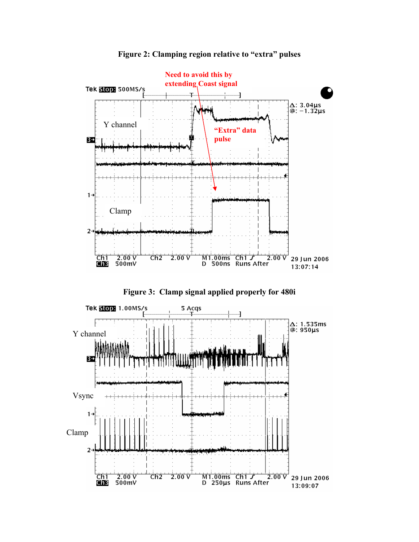

**Figure 2: Clamping region relative to "extra" pulses**